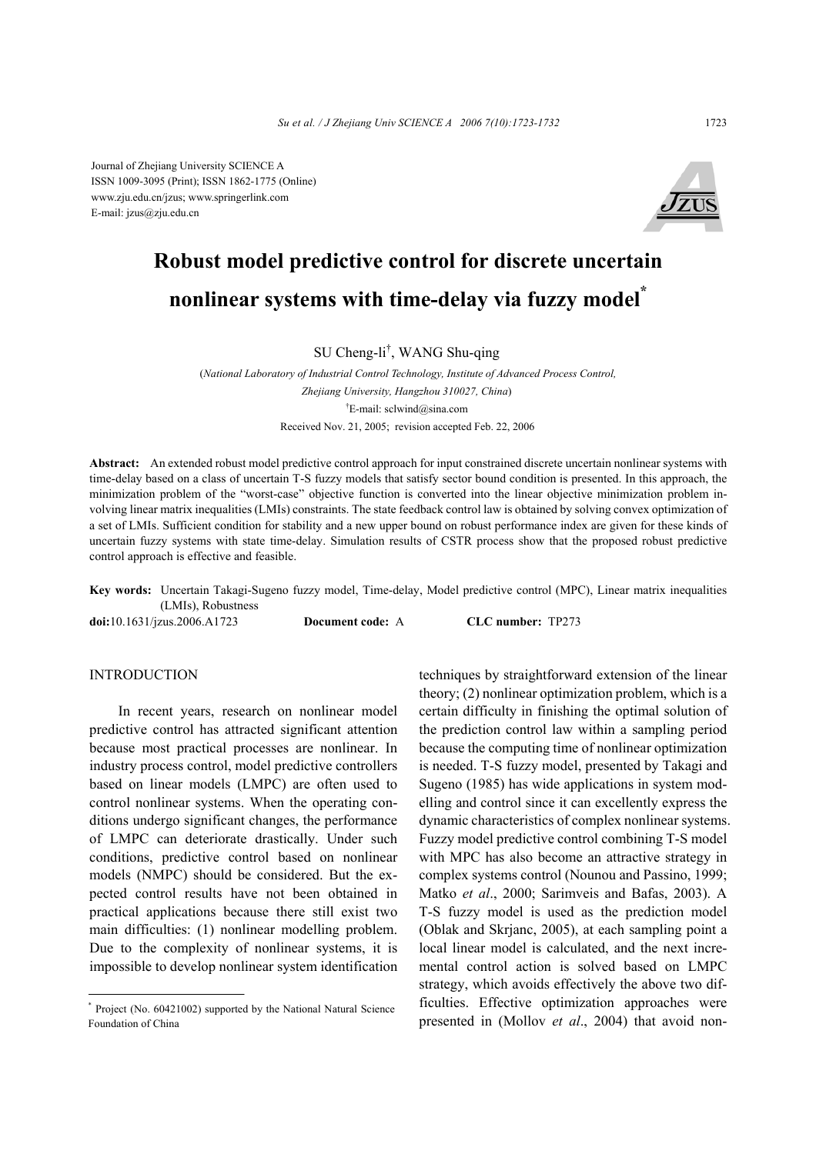Journal of Zhejiang University SCIENCE A ISSN 1009-3095 (Print); ISSN 1862-1775 (Online) www.zju.edu.cn/jzus; www.springerlink.com E-mail: jzus@zju.edu.cn



# **Robust model predictive control for discrete uncertain nonlinear systems with time-delay via fuzzy model\***

SU Cheng-li† , WANG Shu-qing

(*National Laboratory of Industrial Control Technology, Institute of Advanced Process Control, Zhejiang University, Hangzhou 310027, China*) † E-mail: sclwind@sina.com Received Nov. 21, 2005; revision accepted Feb. 22, 2006

**Abstract:** An extended robust model predictive control approach for input constrained discrete uncertain nonlinear systems with time-delay based on a class of uncertain T-S fuzzy models that satisfy sector bound condition is presented. In this approach, the minimization problem of the "worst-case" objective function is converted into the linear objective minimization problem involving linear matrix inequalities (LMIs) constraints. The state feedback control law is obtained by solving convex optimization of a set of LMIs. Sufficient condition for stability and a new upper bound on robust performance index are given for these kinds of uncertain fuzzy systems with state time-delay. Simulation results of CSTR process show that the proposed robust predictive control approach is effective and feasible.

**Key words:** Uncertain Takagi-Sugeno fuzzy model, Time-delay, Model predictive control (MPC), Linear matrix inequalities (LMIs), Robustness

**doi:**10.1631/jzus.2006.A1723 **Document code:** A **CLC number:** TP273

### **INTRODUCTION**

In recent years, research on nonlinear model predictive control has attracted significant attention because most practical processes are nonlinear. In industry process control, model predictive controllers based on linear models (LMPC) are often used to control nonlinear systems. When the operating conditions undergo significant changes, the performance of LMPC can deteriorate drastically. Under such conditions, predictive control based on nonlinear models (NMPC) should be considered. But the expected control results have not been obtained in practical applications because there still exist two main difficulties: (1) nonlinear modelling problem. Due to the complexity of nonlinear systems, it is impossible to develop nonlinear system identification techniques by straightforward extension of the linear theory; (2) nonlinear optimization problem, which is a certain difficulty in finishing the optimal solution of the prediction control law within a sampling period because the computing time of nonlinear optimization is needed. T-S fuzzy model, presented by Takagi and Sugeno (1985) has wide applications in system modelling and control since it can excellently express the dynamic characteristics of complex nonlinear systems. Fuzzy model predictive control combining T-S model with MPC has also become an attractive strategy in complex systems control (Nounou and Passino, 1999; Matko *et al*., 2000; Sarimveis and Bafas, 2003). A T-S fuzzy model is used as the prediction model (Oblak and Skrjanc, 2005), at each sampling point a local linear model is calculated, and the next incremental control action is solved based on LMPC strategy, which avoids effectively the above two difficulties. Effective optimization approaches were presented in (Mollov *et al*., 2004) that avoid non-

<sup>\*</sup> Project (No. 60421002) supported by the National Natural Science Foundation of China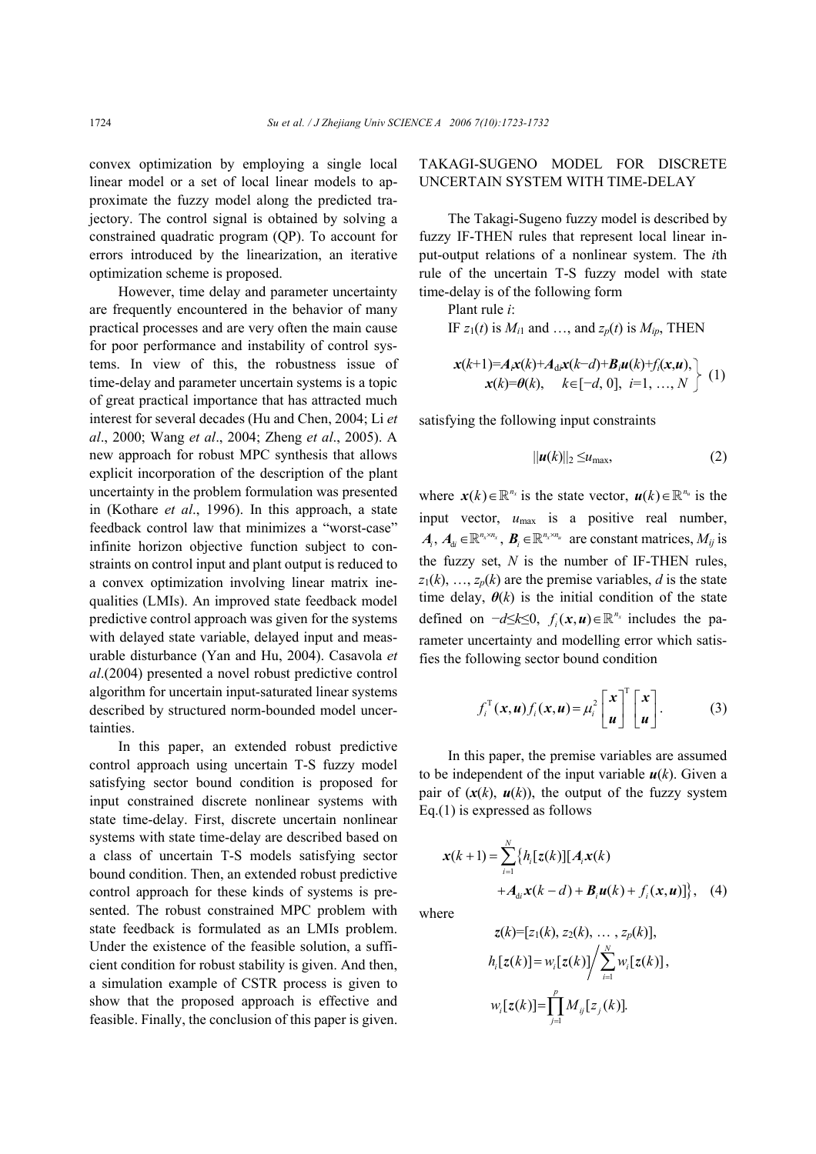convex optimization by employing a single local linear model or a set of local linear models to approximate the fuzzy model along the predicted trajectory. The control signal is obtained by solving a constrained quadratic program (QP). To account for errors introduced by the linearization, an iterative optimization scheme is proposed.

However, time delay and parameter uncertainty are frequently encountered in the behavior of many practical processes and are very often the main cause for poor performance and instability of control systems. In view of this, the robustness issue of time-delay and parameter uncertain systems is a topic of great practical importance that has attracted much interest for several decades (Hu and Chen, 2004; Li *et al*., 2000; Wang *et al*., 2004; Zheng *et al*., 2005). A new approach for robust MPC synthesis that allows explicit incorporation of the description of the plant uncertainty in the problem formulation was presented in (Kothare *et al*., 1996). In this approach, a state feedback control law that minimizes a "worst-case" infinite horizon objective function subject to constraints on control input and plant output is reduced to a convex optimization involving linear matrix inequalities (LMIs). An improved state feedback model predictive control approach was given for the systems with delayed state variable, delayed input and measurable disturbance (Yan and Hu, 2004). Casavola *et al*.(2004) presented a novel robust predictive control algorithm for uncertain input-saturated linear systems described by structured norm-bounded model uncertainties.

In this paper, an extended robust predictive control approach using uncertain T-S fuzzy model satisfying sector bound condition is proposed for input constrained discrete nonlinear systems with state time-delay. First, discrete uncertain nonlinear systems with state time-delay are described based on a class of uncertain T-S models satisfying sector bound condition. Then, an extended robust predictive control approach for these kinds of systems is presented. The robust constrained MPC problem with state feedback is formulated as an LMIs problem. Under the existence of the feasible solution, a sufficient condition for robust stability is given. And then, a simulation example of CSTR process is given to show that the proposed approach is effective and feasible. Finally, the conclusion of this paper is given.

## TAKAGI-SUGENO MODEL FOR DISCRETE UNCERTAIN SYSTEM WITH TIME-DELAY

The Takagi-Sugeno fuzzy model is described by fuzzy IF-THEN rules that represent local linear input-output relations of a nonlinear system. The *i*th rule of the uncertain T-S fuzzy model with state time-delay is of the following form

Plant rule *i*: IF  $z_1(t)$  is  $M_{i1}$  and  $\ldots$ , and  $z_p(t)$  is  $M_{ip}$ , THEN *x*(*k*+1)=*Aix*(*k*)+*A*d*ix*(*k*−*d*)+*Biu*(*k*)+*fi*(*x*,*u*),  $\mathbf{x}(k) = \theta(k), \quad k \in [-d, 0], \quad i = 1, ..., N$ (1)

satisfying the following input constraints

$$
\|\boldsymbol{u}(k)\|_2 \leq u_{\text{max}},\tag{2}
$$

where  $\mathbf{x}(k) \in \mathbb{R}^{n_x}$  is the state vector,  $\mathbf{u}(k) \in \mathbb{R}^{n_u}$  is the input vector,  $u_{\text{max}}$  is a positive real number,  $A_i, A_{di} \in \mathbb{R}^{n_x \times n_x}, B_i \in \mathbb{R}^{n_x \times n_u}$  are constant matrices,  $M_{ij}$  is the fuzzy set,  $N$  is the number of IF-THEN rules,  $z_1(k), \ldots, z_p(k)$  are the premise variables, *d* is the state time delay,  $\theta(k)$  is the initial condition of the state defined on  $-d \le k \le 0$ ,  $f_i(x, u) \in \mathbb{R}^{n_x}$  includes the parameter uncertainty and modelling error which satisfies the following sector bound condition

$$
f_i^{\mathrm{T}}(\mathbf{x}, \mathbf{u}) f_i(\mathbf{x}, \mathbf{u}) = \mu_i^2 \begin{bmatrix} \mathbf{x} \\ \mathbf{u} \end{bmatrix}^{\mathrm{T}} \begin{bmatrix} \mathbf{x} \\ \mathbf{u} \end{bmatrix} . \tag{3}
$$

In this paper, the premise variables are assumed to be independent of the input variable  $u(k)$ . Given a pair of  $(x(k), u(k))$ , the output of the fuzzy system Eq.(1) is expressed as follows

$$
\mathbf{x}(k+1) = \sum_{i=1}^{N} \{ h_i[z(k)] [A_i \mathbf{x}(k) + A_{di} \mathbf{x}(k-1) + B_i \mathbf{u}(k) + f_i(\mathbf{x}, \mathbf{u}) ] \}, \quad (4)
$$

where

$$
z(k)=[z_1(k), z_2(k), ..., z_p(k)],
$$
  
\n
$$
h_i[z(k)]=w_i[z(k)]/\sum_{i=1}^N w_i[z(k)],
$$
  
\n
$$
w_i[z(k)]=\prod_{j=1}^p M_{ij}[z_j(k)].
$$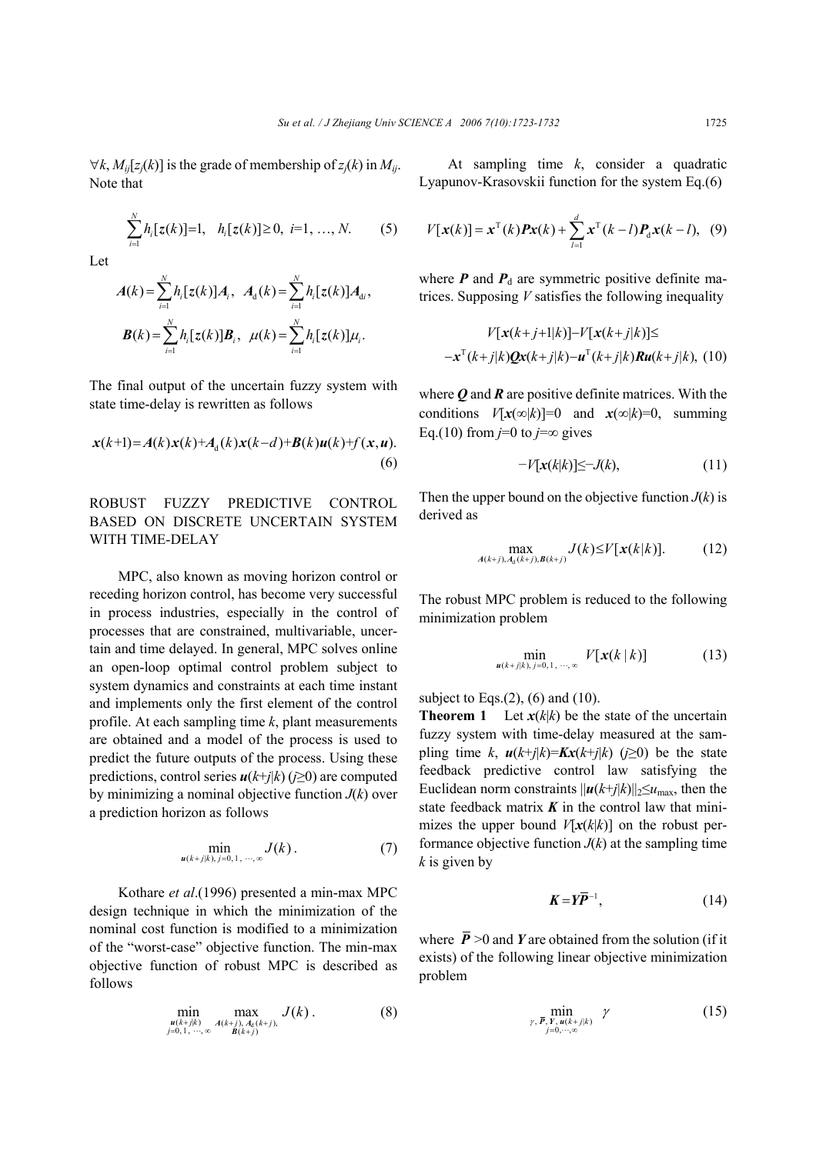$∀k$ ,  $M_{ij}[z_j(k)]$  is the grade of membership of  $z_j(k)$  in  $M_{ij}$ . Note that

$$
\sum_{i=1}^{N} h_i[z(k)] = 1, \quad h_i[z(k)] \ge 0, \quad i = 1, \ldots, N. \tag{5}
$$

Let

$$
A(k) = \sum_{i=1}^{N} h_i[z(k)]A_i, A_d(k) = \sum_{i=1}^{N} h_i[z(k)]A_d,
$$
  

$$
B(k) = \sum_{i=1}^{N} h_i[z(k)]B_i, \mu(k) = \sum_{i=1}^{N} h_i[z(k)]\mu_i.
$$

The final output of the uncertain fuzzy system with state time-delay is rewritten as follows

$$
\mathbf{x}(k+1) = A(k)\mathbf{x}(k) + A_d(k)\mathbf{x}(k-d) + B(k)\mathbf{u}(k) + f(\mathbf{x}, \mathbf{u}).
$$
\n(6)

## ROBUST FUZZY PREDICTIVE CONTROL BASED ON DISCRETE UNCERTAIN SYSTEM WITH TIME-DELAY

MPC, also known as moving horizon control or receding horizon control, has become very successful in process industries, especially in the control of processes that are constrained, multivariable, uncertain and time delayed. In general, MPC solves online an open-loop optimal control problem subject to system dynamics and constraints at each time instant and implements only the first element of the control profile. At each sampling time *k*, plant measurements are obtained and a model of the process is used to predict the future outputs of the process. Using these predictions, control series  $u(k+j|k)$  ( $j\geq 0$ ) are computed by minimizing a nominal objective function *J*(*k*) over a prediction horizon as follows

$$
\min_{\mathbf{u}(k+j|k), j=0,1,\cdots,\infty} J(k). \tag{7}
$$

Kothare *et al*.(1996) presented a min-max MPC design technique in which the minimization of the nominal cost function is modified to a minimization of the "worst-case" objective function. The min-max objective function of robust MPC is described as follows

$$
\min_{\substack{u(k+j|k) \\ j=0, 1, \cdots, \infty}} \max_{\substack{A(k+j), A_0(k+j), \\ B(k+j)}} J(k).
$$
 (8)

At sampling time *k*, consider a quadratic Lyapunov-Krasovskii function for the system Eq.(6)

$$
V[x(k)] = x^{T}(k)Px(k) + \sum_{l=1}^{d} x^{T}(k-l)P_{d}x(k-l), (9)
$$

where  $P$  and  $P_d$  are symmetric positive definite matrices. Supposing *V* satisfies the following inequality

$$
V[x(k+j+1|k)]-V[x(k+j|k)]\le
$$
  
- $x^T(k+j|k)\mathbf{Qx}(k+j|k)-\mathbf{u}^T(k+j|k)\mathbf{R}\mathbf{u}(k+j|k),$  (10)

where *Q* and *R* are positive definite matrices. With the conditions  $V[x(\infty]k] = 0$  and  $x(\infty]k = 0$ , summing Eq.(10) from  $j=0$  to  $j=\infty$  gives

$$
-V[x(k|k)] \leq -J(k),\tag{11}
$$

Then the upper bound on the objective function  $J(k)$  is derived as

$$
\max_{A(k+j), A_4(k+j), B(k+j)} J(k) \le V[x(k|k)].
$$
 (12)

The robust MPC problem is reduced to the following minimization problem

$$
\min_{\mathbf{u}(k+j|k), j=0,1,\cdots,\infty} V[\mathbf{x}(k|k)] \tag{13}
$$

subject to Eqs. $(2)$ ,  $(6)$  and  $(10)$ .

**Theorem 1** Let  $x(k|k)$  be the state of the uncertain fuzzy system with time-delay measured at the sampling time *k*,  $u(k+j|k) = Kx(k+j|k)$  (*j*≥0) be the state feedback predictive control law satisfying the Euclidean norm constraints  $||u(k+j|k)||_2 \le u_{\text{max}}$ , then the state feedback matrix  $\boldsymbol{K}$  in the control law that minimizes the upper bound  $V[x(k|k)]$  on the robust performance objective function  $J(k)$  at the sampling time *k* is given by

$$
K = Y\overline{P}^{-1}, \tag{14}
$$

where  $\bar{P}$  >0 and *Y* are obtained from the solution (if it exists) of the following linear objective minimization problem

$$
\min_{\substack{\gamma, \overline{P}, Y, u(k+j|k) \\ j=0,\cdots,\infty}} \gamma \tag{15}
$$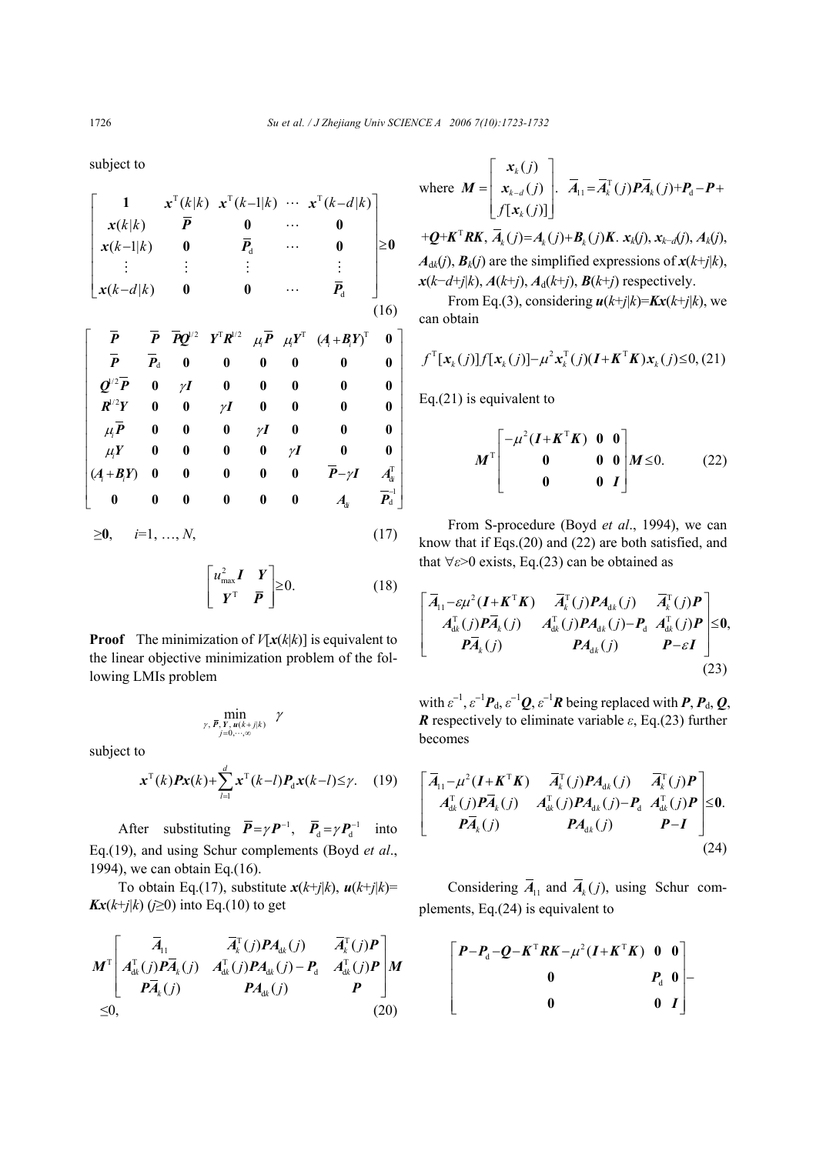subject to

$$
\begin{bmatrix}\n1 & x^{T}(k|k) & x^{T}(k-1|k) & \cdots & x^{T}(k-d|k) \\
x(k|k) & \overline{P} & 0 & \cdots & 0 \\
x(k-1|k) & 0 & \overline{P}_{a} & \cdots & 0 \\
\vdots & \vdots & \vdots & & \vdots \\
x(k-d|k) & 0 & 0 & \cdots & \overline{P}_{a}\n\end{bmatrix} \ge 0
$$
\n
$$
\begin{bmatrix}\n\overline{P} & \overline{P} & \overline{P}Q^{1/2} & Y^{T}R^{1/2} & \mu_{i}\overline{P} & \mu_{i}Y^{T} & (A+B_{i}Y)^{T} & 0 \\
\overline{P} & \overline{P}_{a} & 0 & 0 & 0 & 0 & 0 \\
Q^{1/2}\overline{P} & 0 & \gamma I & 0 & 0 & 0 & 0 \\
\mu_{i}\overline{P} & 0 & 0 & \gamma I & 0 & 0 & 0 \\
\mu_{i}\overline{P} & 0 & 0 & 0 & \gamma I & 0 & 0 \\
\mu_{i}\overline{P} & 0 & 0 & 0 & \gamma I & 0 & 0 \\
\mu_{i}\overline{P} & 0 & 0 & 0 & 0 & \gamma I & 0 & 0 \\
(A+B_{i}Y) & 0 & 0 & 0 & 0 & 0 & \overline{P}-\gamma I & A_{a}^{T} \\
0 & 0 & 0 & 0 & 0 & 0 & 0 & A_{a} & \overline{P}_{a}^{T}\n\end{bmatrix}
$$
\n
$$
\ge 0, \quad i=1, ..., N,
$$
\n(17)

$$
\begin{bmatrix} u_{\text{max}}^2 \boldsymbol{I} & \boldsymbol{Y} \\ \boldsymbol{Y}^{\text{T}} & \boldsymbol{\bar{P}} \end{bmatrix} \geq 0. \tag{18}
$$

**Proof** The minimization of  $V[x(k|k)]$  is equivalent to the linear objective minimization problem of the following LMIs problem

$$
\min_{\gamma, \overline{P}, Y, u(k+j|k) \atop j=0,\cdots,\infty} \gamma
$$

subject to

$$
\boldsymbol{x}^{\mathrm{T}}(k)\boldsymbol{P}\boldsymbol{x}(k)+\sum_{l=1}^{d}\boldsymbol{x}^{\mathrm{T}}(k-l)\boldsymbol{P}_{\mathrm{d}}\boldsymbol{x}(k-l)\leq\gamma.\quad(19)
$$

After substituting  $\overline{P} = \gamma P^{-1}$ ,  $\overline{P}_d = \gamma P_d^{-1}$  into Eq.(19), and using Schur complements (Boyd *et al*., 1994), we can obtain Eq.(16).

To obtain Eq.(17), substitute  $x(k+j|k)$ ,  $u(k+j|k)=$ *Kx*( $k+j|k$ ) ( $j \ge 0$ ) into Eq.(10) to get

$$
M^{\text{T}}\begin{bmatrix} \overline{A}_{11} & \overline{A}_{k}^{\text{T}}(j)PA_{4k}(j) & \overline{A}_{k}^{\text{T}}(j)P \\ A_{dk}^{\text{T}}(j)P\overline{A}_{k}(j) & A_{dk}^{\text{T}}(j)PA_{4k}(j) - P_{d} & A_{dk}^{\text{T}}(j)P \\ PA_{k}(j) & PA_{dk}(j) & P \end{bmatrix}M \\ \leq 0, \tag{20}
$$

where 
$$
\mathbf{M} = \begin{bmatrix} \mathbf{x}_k(j) \\ \mathbf{x}_{k-d}(j) \\ f[\mathbf{x}_k(j)] \end{bmatrix} . \quad \overline{A}_{11} = \overline{A}_k^{\mathrm{T}}(j) \mathbf{P} \overline{A}_k(j) + \mathbf{P}_{d} - \mathbf{P} +
$$

 $+ Q + K^{\mathrm{T}} R K$ ,  $\overline{A}_{k}(j) = A_{k}(j) + B_{k}(j) K$ .  $x_{k}(j)$ ,  $x_{k-d}(j)$ ,  $A_{k}(j)$ ,  $A_{dk}(j)$ ,  $B_k(j)$  are the simplified expressions of  $x(k+j|k)$ , *x*(*k*−*d*+*j*|*k*), *A*(*k*+*j*), *A*<sub>d</sub>(*k*+*j*), *B*(*k*+*j*) respectively.

From Eq.(3), considering  $u(k+j|k)=Kx(k+j|k)$ , we can obtain

$$
fT[xk(j)]f[xk(j)]- $\mu$ <sup>2</sup>**x**<sub>k</sub><sup>T</sup>(j)(**I**+**K**<sup>T</sup>**K**)**x**<sub>k</sub>(j) ≤0, (21)
$$

Eq.(21) is equivalent to

$$
M^{T}\begin{bmatrix} -\mu^{2}(I + K^{T}K) & 0 & 0 \\ 0 & 0 & 0 \\ 0 & 0 & I \end{bmatrix} M \leq 0.
$$
 (22)

From S-procedure (Boyd *et al*., 1994), we can know that if Eqs.(20) and (22) are both satisfied, and that ∀*ε*>0 exists, Eq.(23) can be obtained as

$$
\begin{bmatrix}\n\overline{A}_{11} - \varepsilon \mu^2 (I + K^{\mathrm{T}} K) & \overline{A}_{k}^{\mathrm{T}}(j) P A_{\mathrm{d}k}(j) & \overline{A}_{k}^{\mathrm{T}}(j) P \\
A_{\mathrm{d}k}^{\mathrm{T}}(j) P \overline{A}_{k}(j) & A_{\mathrm{d}k}^{\mathrm{T}}(j) P A_{\mathrm{d}k}(j) - P_{\mathrm{d}} & A_{\mathrm{d}k}^{\mathrm{T}}(j) P \\
P \overline{A}_{k}(j) & P A_{\mathrm{d}k}(j) & P - \varepsilon I\n\end{bmatrix} \leq 0,
$$
\n(23)

with  $\epsilon^{-1}$ ,  $\epsilon^{-1}P_{d}$ ,  $\epsilon^{-1}Q$ ,  $\epsilon^{-1}R$  being replaced with *P*,  $P_{d}$ ,  $Q$ , *R* respectively to eliminate variable  $\varepsilon$ , Eq.(23) further becomes

$$
\begin{bmatrix}\n\overline{A}_{11} - \mu^2 (I + K^{\mathrm{T}} K) & \overline{A}_{k}^{\mathrm{T}}(j) P A_{\mathrm{d}k}(j) & \overline{A}_{k}^{\mathrm{T}}(j) P \\
A_{\mathrm{d}k}^{\mathrm{T}}(j) P \overline{A}_{k}(j) & A_{\mathrm{d}k}^{\mathrm{T}}(j) P A_{\mathrm{d}k}(j) - P_{\mathrm{d}} & A_{\mathrm{d}k}^{\mathrm{T}}(j) P \\
P \overline{A}_{k}(j) & P A_{\mathrm{d}k}(j) & P-I\n\end{bmatrix} \leq 0.
$$
\n(24)

Considering  $\overline{A}_{11}$  and  $\overline{A}_{k}(j)$ , using Schur complements, Eq.(24) is equivalent to

$$
\begin{bmatrix}\nP-P_d - Q - K^T R K - \mu^2 (I + K^T K) & 0 & 0 \\
0 & P_d & 0 \\
0 & 0 & I\n\end{bmatrix}
$$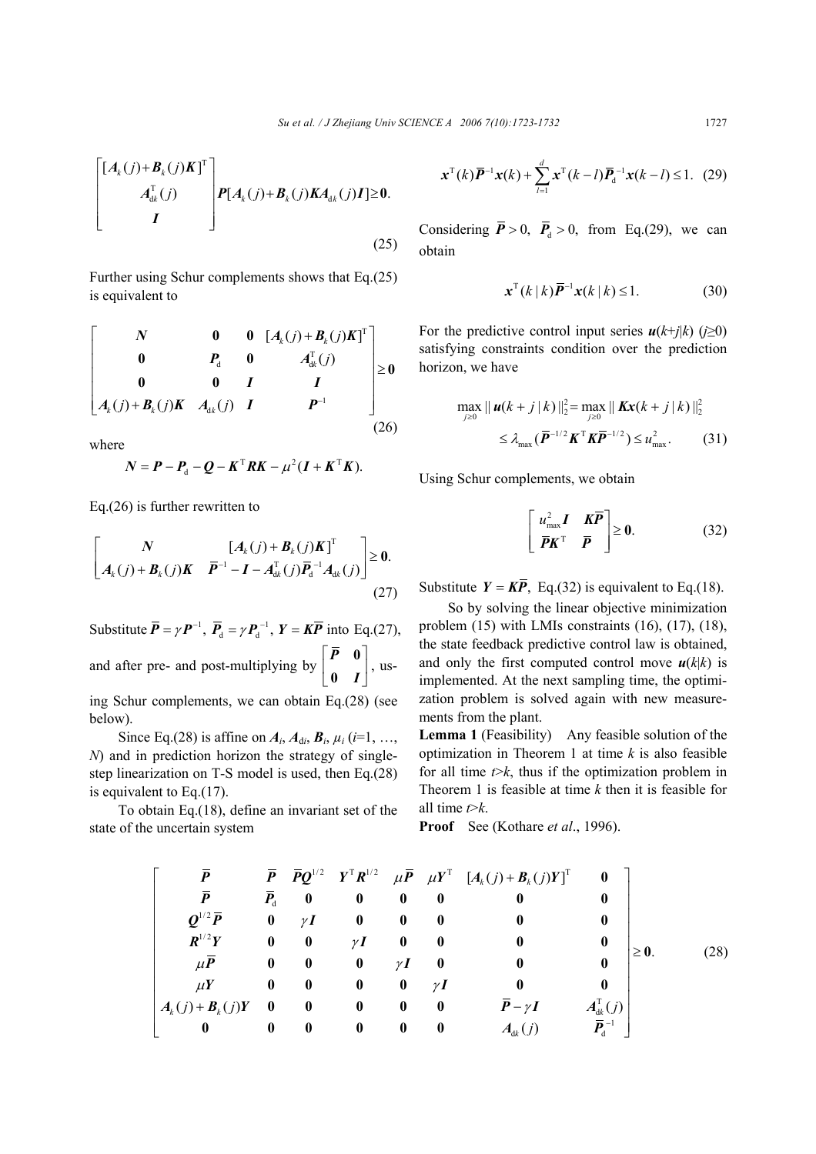$$
\begin{bmatrix}\n[A_k(j) + B_k(j)K]^T \\
A_{dk}^T(j)\n\end{bmatrix} P[A_k(j) + B_k(j)KA_{dk}(j)I] \ge 0.
$$
\n(25)

Further using Schur complements shows that Eq.(25) is equivalent to

$$
\begin{bmatrix}\nN & 0 & 0 & [A_{k}(j) + B_{k}(j)K]^T \\
0 & P_{d} & 0 & A_{dk}^T(j) \\
0 & 0 & I & I \\
A_{k}(j) + B_{k}(j)K & A_{dk}(j) & I & P^{-1}\n\end{bmatrix} \ge 0
$$
\n(26)

where

below).

$$
N = P - Pd - Q - KT RK - \mu2(I + KTK).
$$

Eq.(26) is further rewritten to

$$
\begin{bmatrix} N & [A_k(j) + B_k(j)K]^T \\ A_k(j) + B_k(j)K & \overline{P}^{-1} - I - A_{ak}^T(j)\overline{P}_d^{-1}A_{ak}(j) \end{bmatrix} \ge 0.
$$
\n(27)

Substitute  $\overline{P} = \gamma P^{-1}$ ,  $\overline{P}_d = \gamma P_d^{-1}$ ,  $Y = K\overline{P}$  into Eq.(27), and after pre- and post-multiplying by  $\left| \vec{P} \quad 0 \right|$  $\begin{bmatrix} 0 & I \end{bmatrix}$ **0 0** *P I* , using Schur complements, we can obtain Eq.(28) (see

Since Eq.(28) is affine on  $A_i$ ,  $A_{di}$ ,  $B_i$ ,  $\mu_i$  (*i*=1, …, *N*) and in prediction horizon the strategy of singlestep linearization on T-S model is used, then Eq.(28) is equivalent to Eq.(17).

To obtain Eq.(18), define an invariant set of the state of the uncertain system

$$
\boldsymbol{x}^{\mathrm{T}}(k)\boldsymbol{\overline{P}}^{-1}\boldsymbol{x}(k)+\sum_{l=1}^{d}\boldsymbol{x}^{\mathrm{T}}(k-l)\boldsymbol{\overline{P}}_{\mathrm{d}}^{-1}\boldsymbol{x}(k-l)\leq1.\tag{29}
$$

Considering  $\overline{P} > 0$ ,  $\overline{P}_d > 0$ , from Eq.(29), we can obtain

$$
\boldsymbol{x}^{\mathrm{T}}(k|k)\boldsymbol{\bar{P}}^{-1}\boldsymbol{x}(k|k) \le 1. \tag{30}
$$

For the predictive control input series  $u(k+j|k)$  ( $j\geq 0$ ) satisfying constraints condition over the prediction horizon, we have

$$
\max_{j\geq 0} \| \mathbf{u}(k+j \,|\, k) \|_{2}^{2} = \max_{j\geq 0} \| \mathbf{Kx}(k+j \,|\, k) \|_{2}^{2}
$$
  
 
$$
\leq \lambda_{\max} (\mathbf{P}^{-1/2} \mathbf{K}^{\mathrm{T}} \mathbf{K} \mathbf{P}^{-1/2}) \leq u_{\max}^{2}.
$$
 (31)

Using Schur complements, we obtain

$$
\begin{bmatrix} u_{\text{max}}^2 I & K\overline{P} \\ \overline{P}K^T & \overline{P} \end{bmatrix} \ge 0.
$$
 (32)

Substitute  $Y = K\overline{P}$ , Eq.(32) is equivalent to Eq.(18).

So by solving the linear objective minimization problem (15) with LMIs constraints (16), (17), (18), the state feedback predictive control law is obtained, and only the first computed control move  $u(k|k)$  is implemented. At the next sampling time, the optimization problem is solved again with new measurements from the plant.

**Lemma 1** (Feasibility) Any feasible solution of the optimization in Theorem 1 at time *k* is also feasible for all time  $t > k$ , thus if the optimization problem in Theorem 1 is feasible at time *k* then it is feasible for all time *t*>*k*.

**Proof** See (Kothare *et al*., 1996).

$$
\begin{bmatrix}\n\overline{P} & \overline{P} & \overline{P}Q^{1/2} & Y^{T}R^{1/2} & \mu \overline{P} & \mu Y^{T} & [A_{k}(j) + B_{k}(j)Y]^{T} & 0 \\
\overline{P} & \overline{P}_{d} & 0 & 0 & 0 & 0 & 0 & 0 \\
Q^{1/2} \overline{P} & 0 & \gamma I & 0 & 0 & 0 & 0 & 0 \\
R^{1/2}Y & 0 & 0 & \gamma I & 0 & 0 & 0 & 0 \\
\mu \overline{P} & 0 & 0 & 0 & \gamma I & 0 & 0 & 0 \\
\mu Y & 0 & 0 & 0 & \gamma I & 0 & 0 & 0 \\
A_{k}(j) + B_{k}(j)Y & 0 & 0 & 0 & 0 & \gamma I & 0 & 0 \\
0 & 0 & 0 & 0 & 0 & 0 & \overline{P} - \gamma I & A_{\frac{1}{4k}}^{T}(j) \\
0 & 0 & 0 & 0 & 0 & 0 & A_{\frac{4k}{}}(j) & \overline{P}_{\frac{1}{4}}^{-1}\n\end{bmatrix}
$$
(28)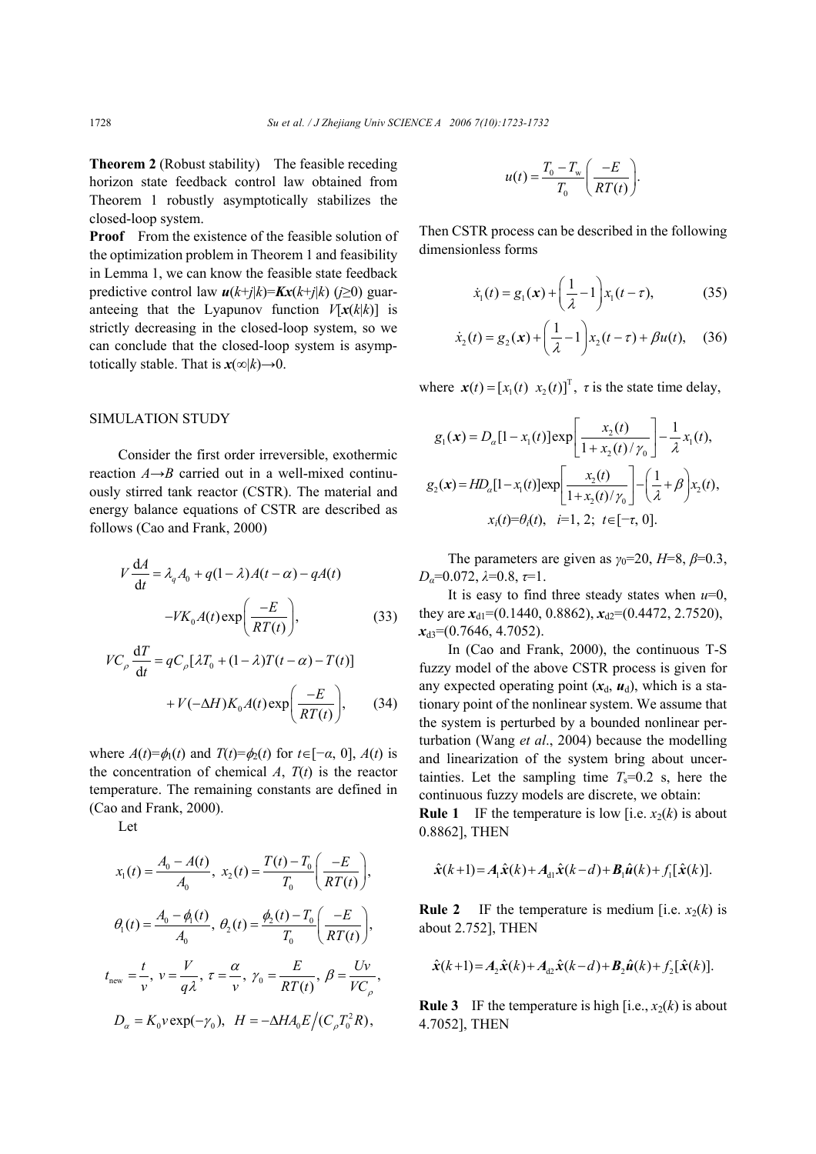**Theorem 2** (Robust stability) The feasible receding horizon state feedback control law obtained from Theorem 1 robustly asymptotically stabilizes the closed-loop system.

**Proof** From the existence of the feasible solution of the optimization problem in Theorem 1 and feasibility in Lemma 1, we can know the feasible state feedback predictive control law  $u(k+j|k) = Kx(k+j|k)$  ( $j \ge 0$ ) guaranteeing that the Lyapunov function  $V[x(k|k)]$  is strictly decreasing in the closed-loop system, so we can conclude that the closed-loop system is asymptotically stable. That is  $x(\infty|k) \rightarrow 0$ .

#### SIMULATION STUDY

Consider the first order irreversible, exothermic reaction  $A \rightarrow B$  carried out in a well-mixed continuously stirred tank reactor (CSTR). The material and energy balance equations of CSTR are described as follows (Cao and Frank, 2000)

$$
V\frac{dA}{dt} = \lambda_q A_0 + q(1 - \lambda)A(t - \alpha) - qA(t)
$$

$$
-VK_0A(t) \exp\left(\frac{-E}{RT(t)}\right), \tag{33}
$$

$$
VC_{\rho} \frac{dT}{dt} = qC_{\rho}[\lambda T_0 + (1 - \lambda)T(t - \alpha) - T(t)]
$$

$$
+ V(-\Delta H)K_0 A(t) \exp\left(\frac{-E}{RT(t)}\right), \qquad (34)
$$

where  $A(t)=\phi_1(t)$  and  $T(t)=\phi_2(t)$  for  $t\in[-\alpha, 0]$ ,  $A(t)$  is the concentration of chemical  $A$ ,  $T(t)$  is the reactor temperature. The remaining constants are defined in (Cao and Frank, 2000).

Let

$$
x_1(t) = \frac{A_0 - A(t)}{A_0}, \ x_2(t) = \frac{T(t) - T_0}{T_0} \left(\frac{-E}{RT(t)}\right),
$$
  

$$
\theta_1(t) = \frac{A_0 - \phi_1(t)}{A_0}, \ \theta_2(t) = \frac{\phi_2(t) - T_0}{T_0} \left(\frac{-E}{RT(t)}\right),
$$
  

$$
t_{\text{new}} = \frac{t}{v}, \ v = \frac{V}{q\lambda}, \ \tau = \frac{\alpha}{v}, \ \gamma_0 = \frac{E}{RT(t)}, \ \beta = \frac{Uv}{VC_p},
$$
  

$$
D_{\alpha} = K_0 v \exp(-\gamma_0), \ \ H = -\Delta H A_0 E / (C_{\rho} T_0^2 R),
$$

$$
u(t) = \frac{T_0 - T_{\rm w}}{T_0} \left( \frac{-E}{RT(t)} \right).
$$

Then CSTR process can be described in the following dimensionless forms

$$
\dot{x}_1(t) = g_1(x) + \left(\frac{1}{\lambda} - 1\right) x_1(t - \tau),
$$
\n(35)

$$
\dot{x}_2(t) = g_2(\mathbf{x}) + \left(\frac{1}{\lambda} - 1\right) x_2(t - \tau) + \beta u(t), \quad (36)
$$

where  $\mathbf{x}(t) = [x_1(t) \ x_2(t)]^T$ ,  $\tau$  is the state time delay,

$$
g_1(\mathbf{x}) = D_{\alpha}[1 - x_1(t)] \exp\left[\frac{x_2(t)}{1 + x_2(t)/\gamma_0}\right] - \frac{1}{\lambda}x_1(t),
$$
  
\n
$$
g_2(\mathbf{x}) = HD_{\alpha}[1 - x_1(t)] \exp\left[\frac{x_2(t)}{1 + x_2(t)/\gamma_0}\right] - \left(\frac{1}{\lambda} + \beta\right)x_2(t),
$$
  
\n
$$
x_i(t) = \theta_i(t), \quad i = 1, 2; \quad t \in [-\tau, 0].
$$

The parameters are given as  $\gamma_0$ =20, *H*=8,  $\beta$ =0.3, *Dα*=0.072, *λ*=0.8, *τ*=1.

It is easy to find three steady states when  $u=0$ , they are  $x_{d1} = (0.1440, 0.8862), x_{d2} = (0.4472, 2.7520),$ *x*<sub>d3</sub>=(0.7646, 4.7052).

In (Cao and Frank, 2000), the continuous T-S fuzzy model of the above CSTR process is given for any expected operating point  $(x_d, u_d)$ , which is a stationary point of the nonlinear system. We assume that the system is perturbed by a bounded nonlinear perturbation (Wang *et al*., 2004) because the modelling and linearization of the system bring about uncertainties. Let the sampling time  $T_s=0.2$  s, here the continuous fuzzy models are discrete, we obtain:

**Rule 1** IF the temperature is low [i.e.  $x_2(k)$  is about 0.8862], THEN

$$
\hat{\mathbf{x}}(k+1) = A_1 \hat{\mathbf{x}}(k) + A_{d1} \hat{\mathbf{x}}(k-d) + B_1 \hat{\mathbf{u}}(k) + f_1[\hat{\mathbf{x}}(k)].
$$

**Rule 2** IF the temperature is medium [i.e.  $x_2(k)$  is about 2.752], THEN

$$
\hat{\mathbf{x}}(k+1) = A_2 \hat{\mathbf{x}}(k) + A_{d2} \hat{\mathbf{x}}(k-d) + B_2 \hat{\mathbf{u}}(k) + f_2[\hat{\mathbf{x}}(k)].
$$

**Rule 3** IF the temperature is high [i.e.,  $x_2(k)$  is about 4.7052], THEN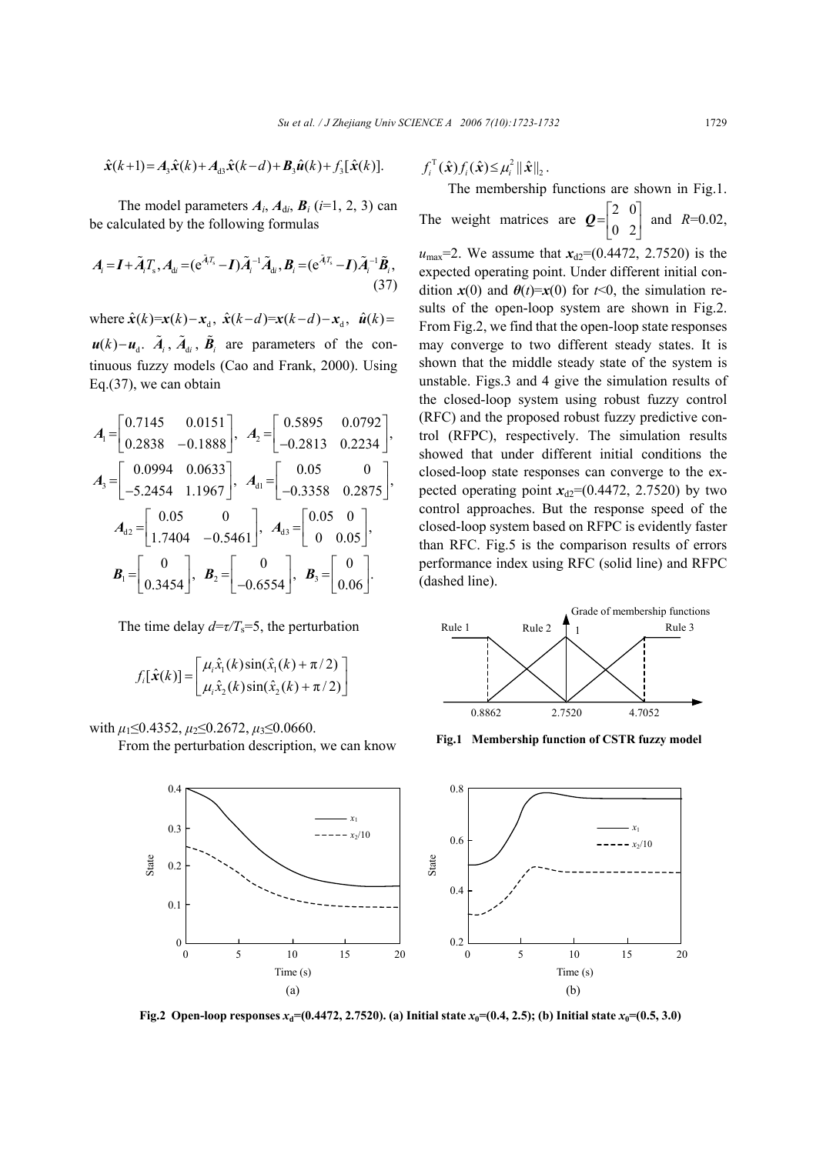$$
\hat{\mathbf{x}}(k+1) = A_3 \hat{\mathbf{x}}(k) + A_{d3} \hat{\mathbf{x}}(k-d) + B_3 \hat{\mathbf{u}}(k) + f_3[\hat{\mathbf{x}}(k)].
$$

The model parameters  $A_i$ ,  $A_{di}$ ,  $B_i$  (*i*=1, 2, 3) can be calculated by the following formulas

$$
A_i = \mathbf{I} + \tilde{A}_i T_s, A_{di} = (e^{\tilde{A}_i T_s} - \mathbf{I})\tilde{A}_i^{-1}\tilde{A}_{di}, B_i = (e^{\tilde{A}_i T_s} - \mathbf{I})\tilde{A}_i^{-1}\tilde{B}_i,
$$
\n(37)

where  $\hat{\mathbf{x}}(k)=\mathbf{x}(k) - \mathbf{x}_d$ ,  $\hat{\mathbf{x}}(k-d)=\mathbf{x}(k-d) - \mathbf{x}_d$ ,  $\hat{\mathbf{u}}(k)=$  $u(k) - u_d$ .  $\tilde{A}_i$ ,  $\tilde{A}_{di}$ ,  $\tilde{B}_i$  are parameters of the continuous fuzzy models (Cao and Frank, 2000). Using Eq.(37), we can obtain

$$
A_{1} = \begin{bmatrix} 0.7145 & 0.0151 \\ 0.2838 & -0.1888 \end{bmatrix}, A_{2} = \begin{bmatrix} 0.5895 & 0.0792 \\ -0.2813 & 0.2234 \end{bmatrix},
$$
  
\n
$$
A_{3} = \begin{bmatrix} 0.0994 & 0.0633 \\ -5.2454 & 1.1967 \end{bmatrix}, A_{d1} = \begin{bmatrix} 0.05 & 0 \\ -0.3358 & 0.2875 \end{bmatrix},
$$
  
\n
$$
A_{d2} = \begin{bmatrix} 0.05 & 0 \\ 1.7404 & -0.5461 \end{bmatrix}, A_{d3} = \begin{bmatrix} 0.05 & 0 \\ 0 & 0.05 \end{bmatrix},
$$
  
\n
$$
B_{1} = \begin{bmatrix} 0 \\ 0.3454 \end{bmatrix}, B_{2} = \begin{bmatrix} 0 \\ -0.6554 \end{bmatrix}, B_{3} = \begin{bmatrix} 0 \\ 0.06 \end{bmatrix}.
$$

The time delay  $d=\tau/T_s=5$ , the perturbation

$$
f_i[\hat{\mathbf{x}}(k)] = \begin{bmatrix} \mu_i \hat{x}_1(k) \sin(\hat{x}_1(k) + \pi/2) \\ \mu_i \hat{x}_2(k) \sin(\hat{x}_2(k) + \pi/2) \end{bmatrix}
$$

with *µ*1≤0.4352, *µ*2≤0.2672, *µ*3≤0.0660.

From the perturbation description, we can know

$$
f_i^{\mathrm{T}}(\hat{\mathbf{x}}) f_i(\hat{\mathbf{x}}) \leq \mu_i^2 {\|\hat{\mathbf{x}}\|}_2.
$$

The membership functions are shown in Fig.1.

The weight matrices are  $\boldsymbol{Q} = \begin{bmatrix} 2 & 0 \\ 0 & 2 \end{bmatrix}$  and  $R=0.02$ ,

 $u_{\text{max}}$ =2. We assume that  $x_{d2}$ =(0.4472, 2.7520) is the expected operating point. Under different initial condition  $x(0)$  and  $\theta(t)=x(0)$  for  $t<0$ , the simulation results of the open-loop system are shown in Fig.2. From Fig.2, we find that the open-loop state responses may converge to two different steady states. It is shown that the middle steady state of the system is unstable. Figs.3 and 4 give the simulation results of the closed-loop system using robust fuzzy control (RFC) and the proposed robust fuzzy predictive control (RFPC), respectively. The simulation results showed that under different initial conditions the closed-loop state responses can converge to the expected operating point  $x_{d2}=(0.4472, 2.7520)$  by two control approaches. But the response speed of the closed-loop system based on RFPC is evidently faster than RFC. Fig.5 is the comparison results of errors performance index using RFC (solid line) and RFPC (dashed line).



**Fig.1 Membership function of CSTR fuzzy model**



**Fig.2** Open-loop responses  $x_a = (0.4472, 2.7520)$ . (a) Initial state  $x_0 = (0.4, 2.5)$ ; (b) Initial state  $x_0 = (0.5, 3.0)$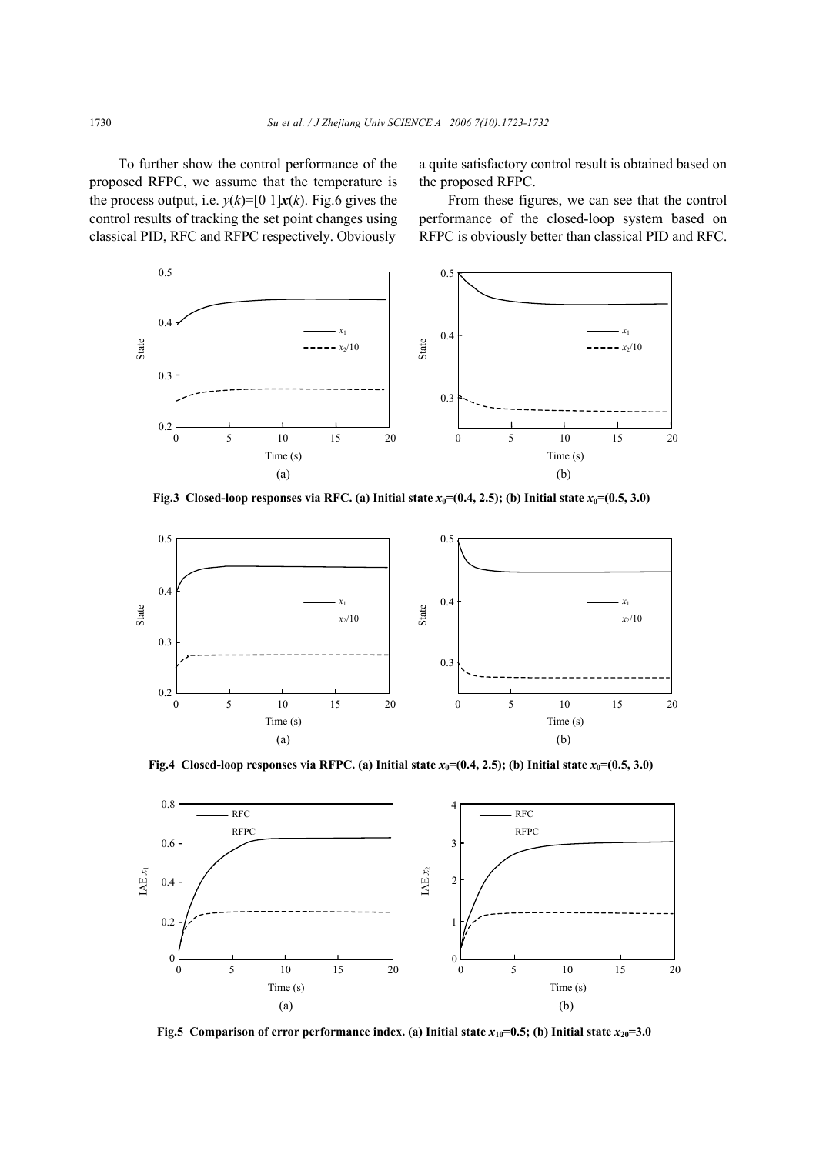To further show the control performance of the proposed RFPC, we assume that the temperature is the process output, i.e.  $y(k) = [0 \ 1]x(k)$ . Fig.6 gives the control results of tracking the set point changes using classical PID, RFC and RFPC respectively. Obviously

a quite satisfactory control result is obtained based on the proposed RFPC.

From these figures, we can see that the control performance of the closed-loop system based on RFPC is obviously better than classical PID and RFC.



**Fig.3** Closed-loop responses via RFC. (a) Initial state  $x_0 = (0.4, 2.5)$ ; (b) Initial state  $x_0 = (0.5, 3.0)$ 



**Fig.4** Closed-loop responses via RFPC. (a) Initial state  $x_0$ =(0.4, 2.5); (b) Initial state  $x_0$ =(0.5, 3.0)



**Fig.5** Comparison of error performance index. (a) Initial state  $x_{10}$ =0.5; (b) Initial state  $x_{20}$ =3.0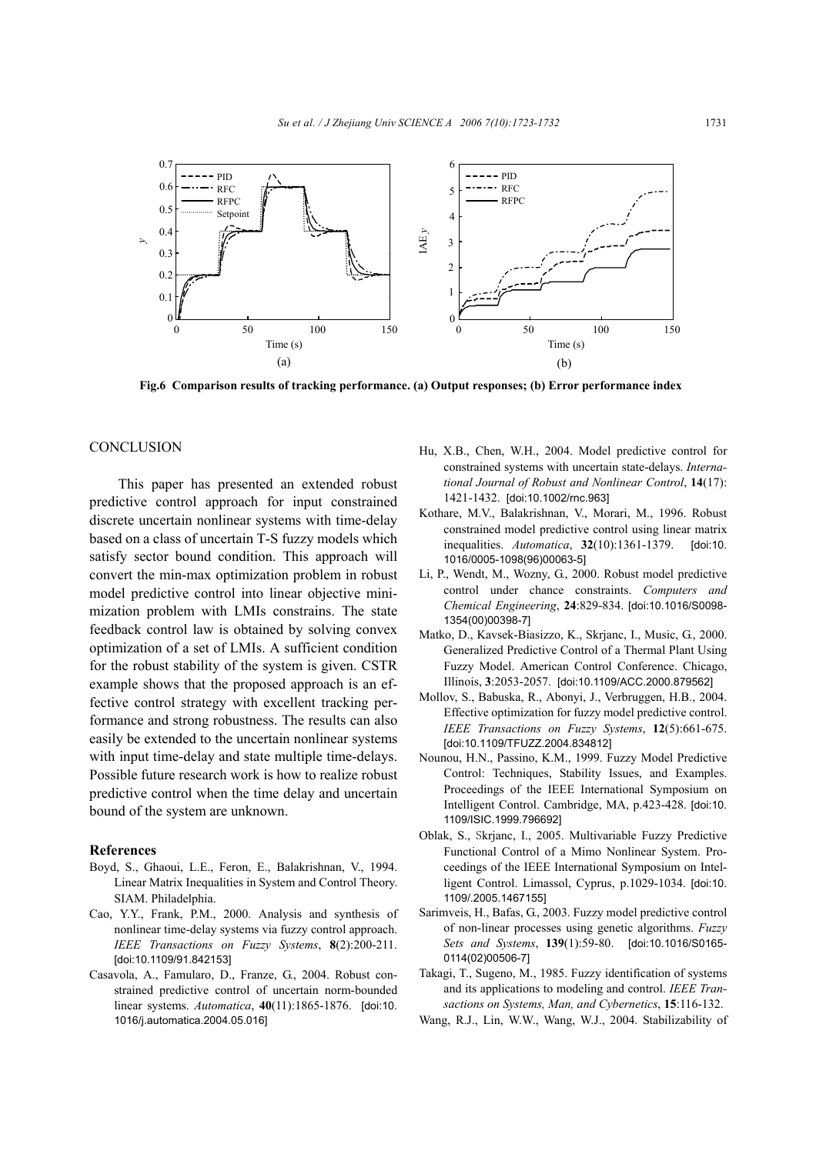

**Fig.6 Comparison results of tracking performance. (a) Output responses; (b) Error performance index** 

#### **CONCLUSION**

This paper has presented an extended robust predictive control approach for input constrained discrete uncertain nonlinear systems with time-delay based on a class of uncertain T-S fuzzy models which satisfy sector bound condition. This approach will convert the min-max optimization problem in robust model predictive control into linear objective minimization problem with LMIs constrains. The state feedback control law is obtained by solving convex optimization of a set of LMIs. A sufficient condition for the robust stability of the system is given. CSTR example shows that the proposed approach is an effective control strategy with excellent tracking performance and strong robustness. The results can also easily be extended to the uncertain nonlinear systems with input time-delay and state multiple time-delays. Possible future research work is how to realize robust predictive control when the time delay and uncertain bound of the system are unknown.

#### **References**

- Boyd, S., Ghaoui, L.E., Feron, E., Balakrishnan, V., 1994. Linear Matrix Inequalities in System and Control Theory. SIAM. Philadelphia.
- Cao, Y.Y., Frank, P.M., 2000. Analysis and synthesis of nonlinear time-delay systems via fuzzy control approach. *IEEE Transactions on Fuzzy Systems*, **8**(2):200-211. [doi:10.1109/91.842153]
- Casavola, A., Famularo, D., Franze, G., 2004. Robust constrained predictive control of uncertain norm-bounded linear systems. *Automatica*, **40**(11):1865-1876. [doi:10. 1016/j.automatica.2004.05.016]
- Hu, X.B., Chen, W.H., 2004. Model predictive control for constrained systems with uncertain state-delays. *International Journal of Robust and Nonlinear Control*, **14**(17): 1421-1432. [doi:10.1002/rnc.963]
- Kothare, M.V., Balakrishnan, V., Morari, M., 1996. Robust constrained model predictive control using linear matrix inequalities. *Automatica*, **32**(10):1361-1379. [doi:10. 1016/0005-1098(96)00063-5]
- Li, P., Wendt, M., Wozny, G., 2000. Robust model predictive control under chance constraints. *Computers and Chemical Engineering*, **24**:829-834. [doi:10.1016/S0098- 1354(00)00398-7]
- Matko, D., Kavsek-Biasizzo, K., Skrjanc, I., Music, G., 2000. Generalized Predictive Control of a Thermal Plant Using Fuzzy Model. American Control Conference. Chicago, Illinois, **3**:2053-2057. [doi:10.1109/ACC.2000.879562]
- Mollov, S., Babuska, R., Abonyi, J., Verbruggen, H.B., 2004. Effective optimization for fuzzy model predictive control. *IEEE Transactions on Fuzzy Systems*, **12**(5):661-675. [doi:10.1109/TFUZZ.2004.834812]
- Nounou, H.N., Passino, K.M., 1999. Fuzzy Model Predictive Control: Techniques, Stability Issues, and Examples. Proceedings of the IEEE International Symposium on Intelligent Control. Cambridge, MA, p.423-428. [doi:10. 1109/ISIC.1999.796692]
- Oblak, S., Skrjanc, I., 2005. Multivariable Fuzzy Predictive Functional Control of a Mimo Nonlinear System. Proceedings of the IEEE International Symposium on Intelligent Control. Limassol, Cyprus, p.1029-1034. [doi:10. 1109/.2005.1467155]
- Sarimveis, H., Bafas, G., 2003. Fuzzy model predictive control of non-linear processes using genetic algorithms. *Fuzzy Sets and Systems*, **139**(1):59-80. [doi:10.1016/S0165- 0114(02)00506-7]
- Takagi, T., Sugeno, M., 1985. Fuzzy identification of systems and its applications to modeling and control. *IEEE Transactions on Systems, Man, and Cybernetics*, **15**:116-132.
- Wang, R.J., Lin, W.W., Wang, W.J., 2004. Stabilizability of